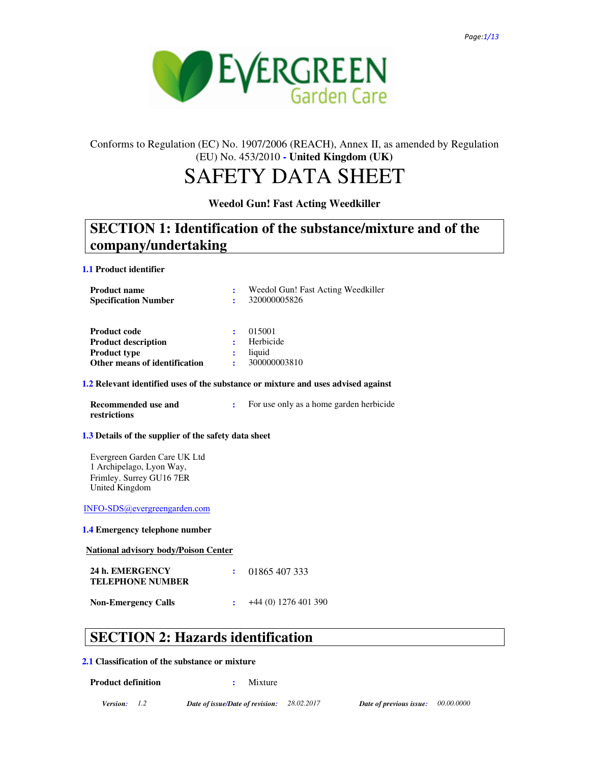

## Conforms to Regulation (EC) No. 1907/2006 (REACH), Annex II, as amended by Regulation (EU) No. 453/2010 **- United Kingdom (UK)**

# SAFETY DATA SHEET

## **Weedol Gun! Fast Acting Weedkiller**

## **SECTION 1: Identification of the substance/mixture and of the company/undertaking**

#### **1.1 Product identifier**

| <b>Product name</b><br><b>Specification Number</b> |   | Weedol Gun! Fast Acting Weedkiller<br>320000005826 |
|----------------------------------------------------|---|----------------------------------------------------|
| <b>Product code</b>                                |   | 015001                                             |
| <b>Product description</b>                         | ÷ | Herbicide                                          |
| <b>Product type</b>                                | : | liquid                                             |
| Other means of identification                      |   | 300000003810                                       |

### **1.2 Relevant identified uses of the substance or mixture and uses advised against**

**Recommended use and restrictions** 

**:** For use only as a home garden herbicide

## **1.3 Details of the supplier of the safety data sheet**

Evergreen Garden Care UK Ltd 1 Archipelago, Lyon Way, Frimley, Surrey GU16 7ER United Kingdom

INFO-SDS@evergreengarden.com

### **1.4 Emergency telephone number**

**National advisory body/Poison Center**

| 24 h. EMERGENCY<br><b>TELEPHONE NUMBER</b> | $\cdot$ 01865 407 333 |
|--------------------------------------------|-----------------------|
| <b>Non-Emergency Calls</b>                 | +44 (0) 1276 401 390  |

## **SECTION 2: Hazards identification**

### **2.1 Classification of the substance or mixture**

**Product definition : 32.33** Mixture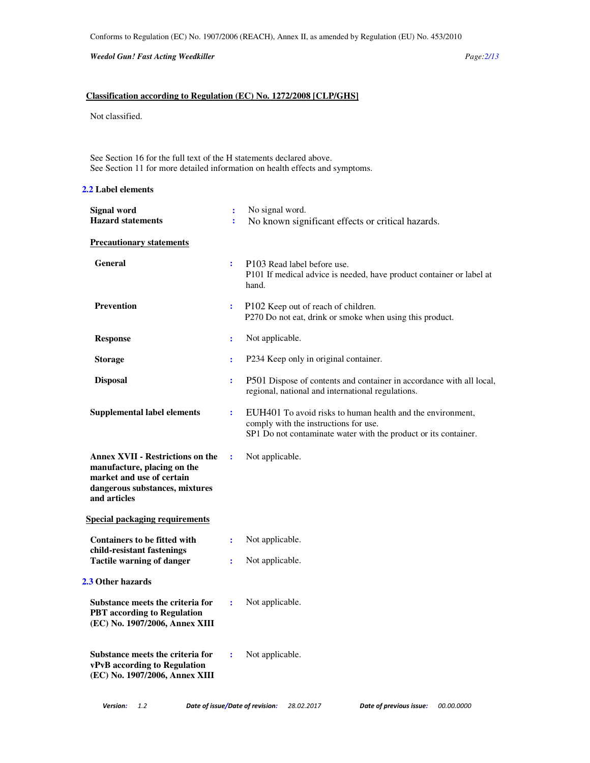*Weedol Gun! Fast Acting Weedkiller Page:2/13* 

## **Classification according to Regulation (EC) No. 1272/2008 [CLP/GHS]**

Not classified.

See Section 16 for the full text of the H statements declared above. See Section 11 for more detailed information on health effects and symptoms.

## **2.2 Label elements**

| P101 If medical advice is needed, have product container or label at                                                          |
|-------------------------------------------------------------------------------------------------------------------------------|
|                                                                                                                               |
|                                                                                                                               |
|                                                                                                                               |
|                                                                                                                               |
|                                                                                                                               |
| P501 Dispose of contents and container in accordance with all local,                                                          |
| EUH401 To avoid risks to human health and the environment,<br>SP1 Do not contaminate water with the product or its container. |
|                                                                                                                               |
|                                                                                                                               |
|                                                                                                                               |
|                                                                                                                               |
|                                                                                                                               |
|                                                                                                                               |
|                                                                                                                               |
|                                                                                                                               |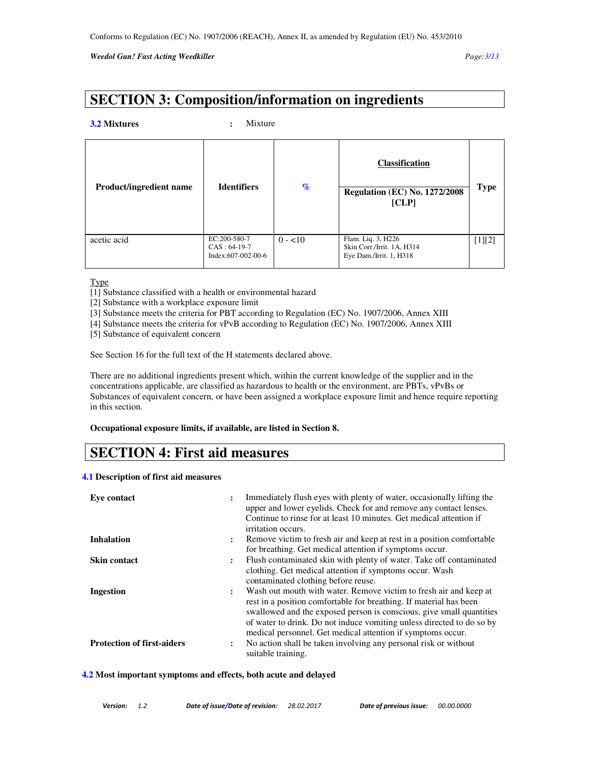## **SECTION 3: Composition/information on ingredients**

#### **3.2 Mixtures :** Mixture

| Product/ingredient name | <b>Identifiers</b>                                   | $\mathcal{A}_{\mathcal{O}}$ | <b>Classification</b><br><b>Regulation (EC) No. 1272/2008</b><br>[CLP]      | <b>Type</b> |
|-------------------------|------------------------------------------------------|-----------------------------|-----------------------------------------------------------------------------|-------------|
| acetic acid             | EC:200-580-7<br>$CAS: 64-19-7$<br>Index:607-002-00-6 | $0 - 10$                    | Flam. Liq. 3, H226<br>Skin Corr./Irrit. 1A, H314<br>Eye Dam./Irrit. 1, H318 | $[1][2]$    |

Type

- [1] Substance classified with a health or environmental hazard
- [2] Substance with a workplace exposure limit
- [3] Substance meets the criteria for PBT according to Regulation (EC) No. 1907/2006, Annex XIII
- [4] Substance meets the criteria for vPvB according to Regulation (EC) No. 1907/2006, Annex XIII
- [5] Substance of equivalent concern

See Section 16 for the full text of the H statements declared above.

There are no additional ingredients present which, within the current knowledge of the supplier and in the concentrations applicable, are classified as hazardous to health or the environment, are PBTs, vPvBs or Substances of equivalent concern, or have been assigned a workplace exposure limit and hence require reporting in this section.

**Occupational exposure limits, if available, are listed in Section 8.** 

## **SECTION 4: First aid measures**

#### **4.1 Description of first aid measures**

| Eye contact                       | ÷  | Immediately flush eyes with plenty of water, occasionally lifting the<br>upper and lower eyelids. Check for and remove any contact lenses.<br>Continue to rinse for at least 10 minutes. Get medical attention if<br>irritation occurs.                                                                                                                 |
|-----------------------------------|----|---------------------------------------------------------------------------------------------------------------------------------------------------------------------------------------------------------------------------------------------------------------------------------------------------------------------------------------------------------|
| <b>Inhalation</b>                 |    | Remove victim to fresh air and keep at rest in a position comfortable<br>for breathing. Get medical attention if symptoms occur.                                                                                                                                                                                                                        |
| <b>Skin contact</b>               | ÷  | Flush contaminated skin with plenty of water. Take off contaminated<br>clothing. Get medical attention if symptoms occur. Wash<br>contaminated clothing before reuse.                                                                                                                                                                                   |
| Ingestion                         | ٠. | Wash out mouth with water. Remove victim to fresh air and keep at<br>rest in a position comfortable for breathing. If material has been<br>swallowed and the exposed person is conscious, give small quantities<br>of water to drink. Do not induce vomiting unless directed to do so by<br>medical personnel. Get medical attention if symptoms occur. |
| <b>Protection of first-aiders</b> | ÷  | No action shall be taken involving any personal risk or without<br>suitable training.                                                                                                                                                                                                                                                                   |

**4.2 Most important symptoms and effects, both acute and delayed**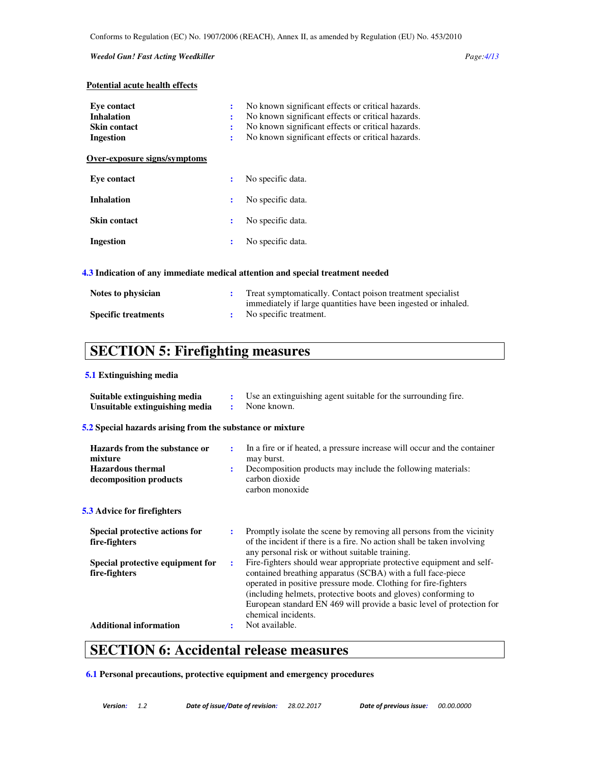#### *Weedol Gun! Fast Acting Weedkiller Page:4/13*

## **Potential acute health effects**

| Eve contact<br><b>Inhalation</b><br><b>Skin contact</b><br>Ingestion | ÷<br>:<br>$\ddot{\cdot}$<br>÷ | No known significant effects or critical hazards.<br>No known significant effects or critical hazards.<br>No known significant effects or critical hazards.<br>No known significant effects or critical hazards. |
|----------------------------------------------------------------------|-------------------------------|------------------------------------------------------------------------------------------------------------------------------------------------------------------------------------------------------------------|
| Over-exposure signs/symptoms                                         |                               |                                                                                                                                                                                                                  |
| Eve contact                                                          | ÷                             | No specific data.                                                                                                                                                                                                |
| <b>Inhalation</b>                                                    | ÷                             | No specific data.                                                                                                                                                                                                |
| <b>Skin contact</b>                                                  | ÷                             | No specific data.                                                                                                                                                                                                |
| Ingestion                                                            | ÷                             | No specific data.                                                                                                                                                                                                |
|                                                                      |                               |                                                                                                                                                                                                                  |

## **4.3 Indication of any immediate medical attention and special treatment needed**

| Notes to physician         | Treat symptomatically. Contact poison treatment specialist     |
|----------------------------|----------------------------------------------------------------|
|                            | immediately if large quantities have been ingested or inhaled. |
| <b>Specific treatments</b> | No specific treatment.                                         |

# **SECTION 5: Firefighting measures**

## **5.1 Extinguishing media**

| Suitable extinguishing media<br>Unsuitable extinguishing media                                 | ÷<br>$\ddot{\cdot}$  | Use an extinguishing agent suitable for the surrounding fire.<br>None known.                                                                                                                                                                                                                                                                                            |
|------------------------------------------------------------------------------------------------|----------------------|-------------------------------------------------------------------------------------------------------------------------------------------------------------------------------------------------------------------------------------------------------------------------------------------------------------------------------------------------------------------------|
| 5.2 Special hazards arising from the substance or mixture                                      |                      |                                                                                                                                                                                                                                                                                                                                                                         |
| Hazards from the substance or<br>mixture<br><b>Hazardous</b> thermal<br>decomposition products |                      | In a fire or if heated, a pressure increase will occur and the container<br>may burst.<br>Decomposition products may include the following materials:<br>carbon dioxide<br>carbon monoxide                                                                                                                                                                              |
| <b>5.3</b> Advice for firefighters                                                             |                      |                                                                                                                                                                                                                                                                                                                                                                         |
| Special protective actions for<br>fire-fighters                                                | $\ddot{\phantom{a}}$ | Promptly isolate the scene by removing all persons from the vicinity<br>of the incident if there is a fire. No action shall be taken involving<br>any personal risk or without suitable training.                                                                                                                                                                       |
| Special protective equipment for<br>fire-fighters                                              | ÷                    | Fire-fighters should wear appropriate protective equipment and self-<br>contained breathing apparatus (SCBA) with a full face-piece<br>operated in positive pressure mode. Clothing for fire-fighters<br>(including helmets, protective boots and gloves) conforming to<br>European standard EN 469 will provide a basic level of protection for<br>chemical incidents. |
| <b>Additional information</b>                                                                  | ÷                    | Not available.                                                                                                                                                                                                                                                                                                                                                          |

## **SECTION 6: Accidental release measures**

**6.1 Personal precautions, protective equipment and emergency procedures**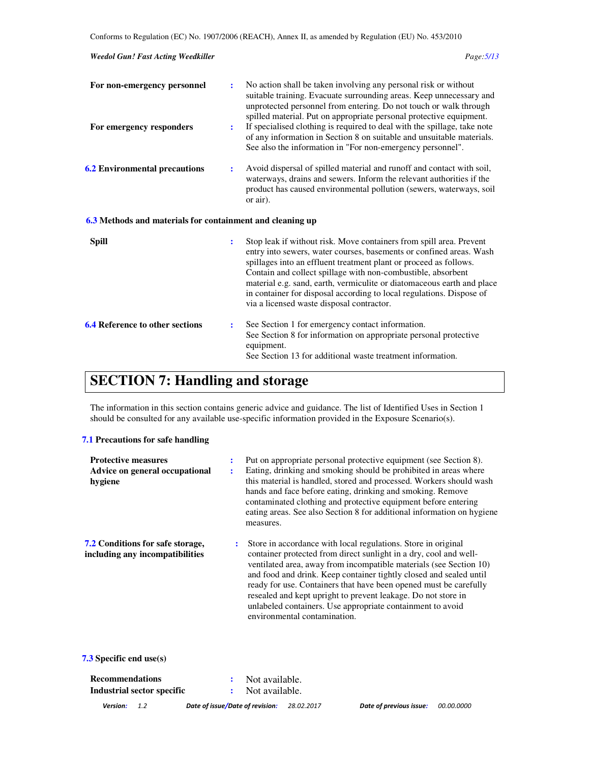| <b>Weedol Gun! Fast Acting Weedkiller</b>                 |                | Page: 5/13                                                                                                                                                                                                                                                                                                                                                                                                                                                                     |
|-----------------------------------------------------------|----------------|--------------------------------------------------------------------------------------------------------------------------------------------------------------------------------------------------------------------------------------------------------------------------------------------------------------------------------------------------------------------------------------------------------------------------------------------------------------------------------|
| For non-emergency personnel                               | ÷              | No action shall be taken involving any personal risk or without<br>suitable training. Evacuate surrounding areas. Keep unnecessary and<br>unprotected personnel from entering. Do not touch or walk through                                                                                                                                                                                                                                                                    |
| For emergency responders                                  | ÷              | spilled material. Put on appropriate personal protective equipment.<br>If specialised clothing is required to deal with the spillage, take note<br>of any information in Section 8 on suitable and unsuitable materials.<br>See also the information in "For non-emergency personnel".                                                                                                                                                                                         |
| <b>6.2 Environmental precautions</b>                      | :              | Avoid dispersal of spilled material and runoff and contact with soil,<br>waterways, drains and sewers. Inform the relevant authorities if the<br>product has caused environmental pollution (sewers, waterways, soil<br>or air).                                                                                                                                                                                                                                               |
| 6.3 Methods and materials for containment and cleaning up |                |                                                                                                                                                                                                                                                                                                                                                                                                                                                                                |
| <b>Spill</b>                                              | $\ddot{\cdot}$ | Stop leak if without risk. Move containers from spill area. Prevent<br>entry into sewers, water courses, basements or confined areas. Wash<br>spillages into an effluent treatment plant or proceed as follows.<br>Contain and collect spillage with non-combustible, absorbent<br>material e.g. sand, earth, vermiculite or diatomaceous earth and place<br>in container for disposal according to local regulations. Dispose of<br>via a licensed waste disposal contractor. |
| <b>6.4 Reference to other sections</b>                    | :              | See Section 1 for emergency contact information.<br>See Section 8 for information on appropriate personal protective<br>equipment.                                                                                                                                                                                                                                                                                                                                             |

# **SECTION 7: Handling and storage**

The information in this section contains generic advice and guidance. The list of Identified Uses in Section 1 should be consulted for any available use-specific information provided in the Exposure Scenario(s).

See Section 13 for additional waste treatment information.

## **7.1 Precautions for safe handling**

| <b>Protective measures</b><br>Advice on general occupational<br>hygiene    | ÷<br>÷ | Put on appropriate personal protective equipment (see Section 8).<br>Eating, drinking and smoking should be prohibited in areas where<br>this material is handled, stored and processed. Workers should wash<br>hands and face before eating, drinking and smoking. Remove<br>contaminated clothing and protective equipment before entering<br>eating areas. See also Section 8 for additional information on hygiene<br>measures.                                                                                |
|----------------------------------------------------------------------------|--------|--------------------------------------------------------------------------------------------------------------------------------------------------------------------------------------------------------------------------------------------------------------------------------------------------------------------------------------------------------------------------------------------------------------------------------------------------------------------------------------------------------------------|
| <b>7.2 Conditions for safe storage,</b><br>including any incompatibilities | ÷      | Store in accordance with local regulations. Store in original<br>container protected from direct sunlight in a dry, cool and well-<br>ventilated area, away from incompatible materials (see Section 10)<br>and food and drink. Keep container tightly closed and sealed until<br>ready for use. Containers that have been opened must be carefully<br>resealed and kept upright to prevent leakage. Do not store in<br>unlabeled containers. Use appropriate containment to avoid<br>environmental contamination. |

**7.3 Specific end use(s)** 

| Recommendations            |     |                                 | : Not available. |            |                         |                   |
|----------------------------|-----|---------------------------------|------------------|------------|-------------------------|-------------------|
| Industrial sector specific |     |                                 | : Not available. |            |                         |                   |
| Version:                   | 1.2 | Date of issue/Date of revision: |                  | 28.02.2017 | Date of previous issue: | <i>00.00.0000</i> |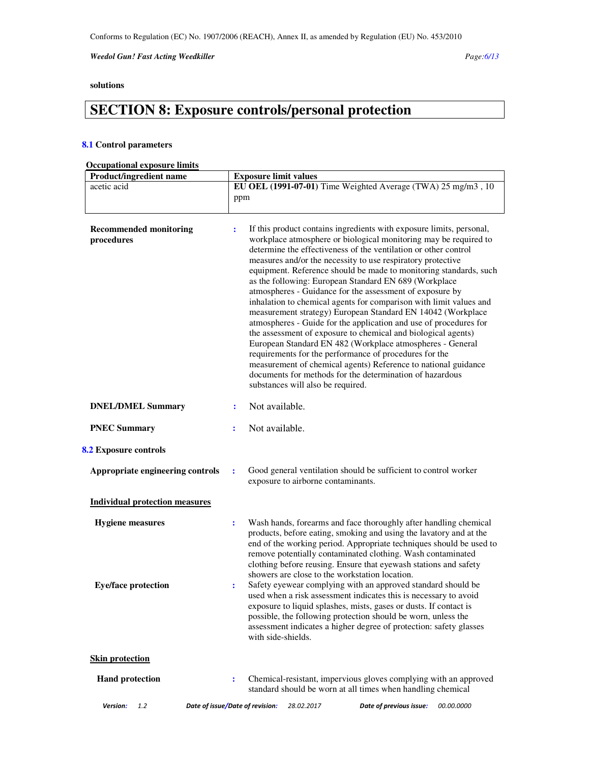*Weedol Gun! Fast Acting Weedkiller Page:6/13* 

## **solutions**

# **SECTION 8: Exposure controls/personal protection**

## **8.1 Control parameters**

## **Occupational exposure limits**

| Product/ingredient name                               | <b>Exposure limit values</b>                                                                                                                                                                                                                                                                                                                                                                                                                                                                                                                                                                                                                                                                                                                                                                                                                                                                                                                                                                                                                   |
|-------------------------------------------------------|------------------------------------------------------------------------------------------------------------------------------------------------------------------------------------------------------------------------------------------------------------------------------------------------------------------------------------------------------------------------------------------------------------------------------------------------------------------------------------------------------------------------------------------------------------------------------------------------------------------------------------------------------------------------------------------------------------------------------------------------------------------------------------------------------------------------------------------------------------------------------------------------------------------------------------------------------------------------------------------------------------------------------------------------|
| acetic acid                                           | EU OEL (1991-07-01) Time Weighted Average (TWA) 25 mg/m3, 10<br>ppm                                                                                                                                                                                                                                                                                                                                                                                                                                                                                                                                                                                                                                                                                                                                                                                                                                                                                                                                                                            |
| <b>Recommended monitoring</b><br>procedures           | If this product contains ingredients with exposure limits, personal,<br>÷<br>workplace atmosphere or biological monitoring may be required to<br>determine the effectiveness of the ventilation or other control<br>measures and/or the necessity to use respiratory protective<br>equipment. Reference should be made to monitoring standards, such<br>as the following: European Standard EN 689 (Workplace<br>atmospheres - Guidance for the assessment of exposure by<br>inhalation to chemical agents for comparison with limit values and<br>measurement strategy) European Standard EN 14042 (Workplace<br>atmospheres - Guide for the application and use of procedures for<br>the assessment of exposure to chemical and biological agents)<br>European Standard EN 482 (Workplace atmospheres - General<br>requirements for the performance of procedures for the<br>measurement of chemical agents) Reference to national guidance<br>documents for methods for the determination of hazardous<br>substances will also be required. |
| <b>DNEL/DMEL Summary</b>                              | Not available.<br>$\ddot{\phantom{a}}$                                                                                                                                                                                                                                                                                                                                                                                                                                                                                                                                                                                                                                                                                                                                                                                                                                                                                                                                                                                                         |
| <b>PNEC Summary</b>                                   | Not available.<br>$\ddot{\cdot}$                                                                                                                                                                                                                                                                                                                                                                                                                                                                                                                                                                                                                                                                                                                                                                                                                                                                                                                                                                                                               |
| 8.2 Exposure controls                                 |                                                                                                                                                                                                                                                                                                                                                                                                                                                                                                                                                                                                                                                                                                                                                                                                                                                                                                                                                                                                                                                |
| Appropriate engineering controls                      | Good general ventilation should be sufficient to control worker<br>$\ddot{\cdot}$<br>exposure to airborne contaminants.                                                                                                                                                                                                                                                                                                                                                                                                                                                                                                                                                                                                                                                                                                                                                                                                                                                                                                                        |
| <b>Individual protection measures</b>                 |                                                                                                                                                                                                                                                                                                                                                                                                                                                                                                                                                                                                                                                                                                                                                                                                                                                                                                                                                                                                                                                |
| <b>Hygiene measures</b><br><b>Eye/face protection</b> | Wash hands, forearms and face thoroughly after handling chemical<br>$\ddot{\cdot}$<br>products, before eating, smoking and using the lavatory and at the<br>end of the working period. Appropriate techniques should be used to<br>remove potentially contaminated clothing. Wash contaminated<br>clothing before reusing. Ensure that eyewash stations and safety<br>showers are close to the workstation location.<br>Safety eyewear complying with an approved standard should be<br>÷<br>used when a risk assessment indicates this is necessary to avoid<br>exposure to liquid splashes, mists, gases or dusts. If contact is<br>possible, the following protection should be worn, unless the<br>assessment indicates a higher degree of protection: safety glasses<br>with side-shields.                                                                                                                                                                                                                                                |
| <b>Skin protection</b>                                |                                                                                                                                                                                                                                                                                                                                                                                                                                                                                                                                                                                                                                                                                                                                                                                                                                                                                                                                                                                                                                                |
| <b>Hand protection</b>                                | Chemical-resistant, impervious gloves complying with an approved<br>÷<br>standard should be worn at all times when handling chemical                                                                                                                                                                                                                                                                                                                                                                                                                                                                                                                                                                                                                                                                                                                                                                                                                                                                                                           |
| Version:<br>1.2                                       | Date of issue/Date of revision:<br>Date of previous issue:<br>28.02.2017<br>00.00.0000                                                                                                                                                                                                                                                                                                                                                                                                                                                                                                                                                                                                                                                                                                                                                                                                                                                                                                                                                         |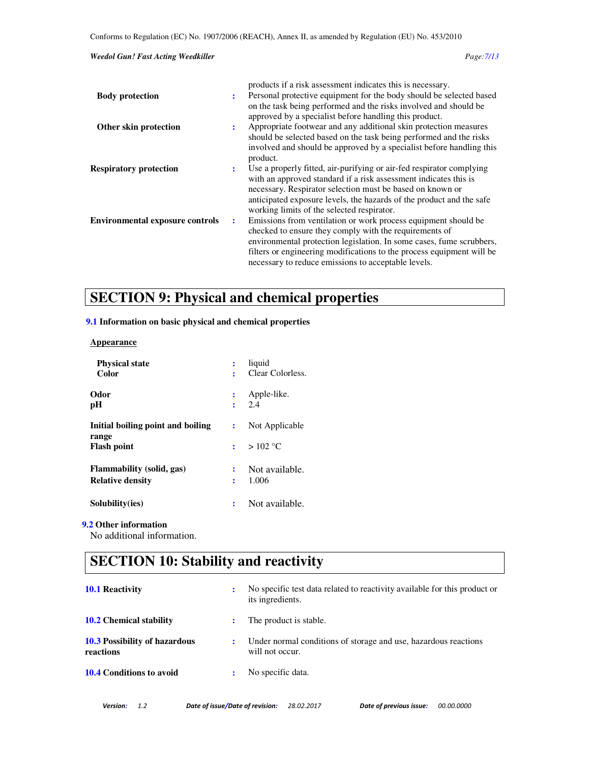#### *Weedol Gun! Fast Acting Weedkiller Page:7/13*

|                                        |    | products if a risk assessment indicates this is necessary.                       |
|----------------------------------------|----|----------------------------------------------------------------------------------|
| <b>Body protection</b>                 | ÷  | Personal protective equipment for the body should be selected based              |
|                                        |    | on the task being performed and the risks involved and should be                 |
|                                        |    | approved by a specialist before handling this product.                           |
| Other skin protection                  | ÷  | Appropriate footwear and any additional skin protection measures                 |
|                                        |    | should be selected based on the task being performed and the risks               |
|                                        |    | involved and should be approved by a specialist before handling this<br>product. |
| <b>Respiratory protection</b>          | ٠. | Use a properly fitted, air-purifying or air-fed respirator complying             |
|                                        |    | with an approved standard if a risk assessment indicates this is                 |
|                                        |    | necessary. Respirator selection must be based on known or                        |
|                                        |    | anticipated exposure levels, the hazards of the product and the safe             |
|                                        |    | working limits of the selected respirator.                                       |
| <b>Environmental exposure controls</b> | ÷  | Emissions from ventilation or work process equipment should be                   |
|                                        |    | checked to ensure they comply with the requirements of                           |
|                                        |    | environmental protection legislation. In some cases, fume scrubbers,             |
|                                        |    | filters or engineering modifications to the process equipment will be            |
|                                        |    | necessary to reduce emissions to acceptable levels.                              |

# **SECTION 9: Physical and chemical properties**

## **9.1 Information on basic physical and chemical properties**

#### **Appearance**

| <b>Physical state</b>             |                           | liquid             |
|-----------------------------------|---------------------------|--------------------|
| Color                             | ÷                         | Clear Colorless.   |
| Odor<br>рH                        | $\ddot{\phantom{0}}$<br>÷ | Apple-like.<br>2.4 |
| Initial boiling point and boiling | $\mathbf{r}$              | Not Applicable     |
| range<br><b>Flash point</b>       |                           | $>102$ °C          |
| Flammability (solid, gas)         |                           | Not available.     |
| <b>Relative density</b>           | ÷                         | 1.006              |
| Solubility(ies)                   |                           | Not available.     |

## **9.2 Other information**

No additional information.

# **SECTION 10: Stability and reactivity**

| No specific test data related to reactivity available for this product or<br>its ingredients. |
|-----------------------------------------------------------------------------------------------|
| The product is stable.                                                                        |
| Under normal conditions of storage and use, hazardous reactions<br>will not occur.            |
| No specific data.                                                                             |
|                                                                                               |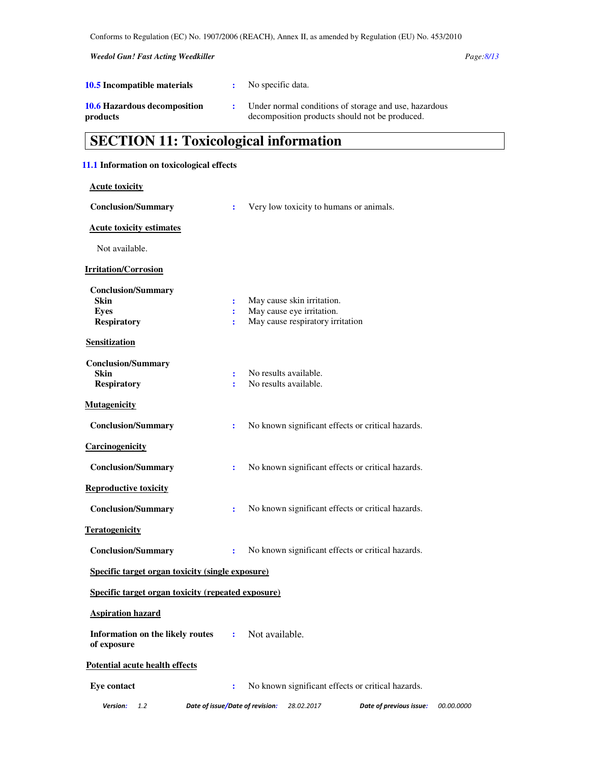*Weedol Gun! Fast Acting Weedkiller Page:8/13* 

| 10.5 Incompatible materials                     | No specific data.                                                                                       |
|-------------------------------------------------|---------------------------------------------------------------------------------------------------------|
| <b>10.6 Hazardous decomposition</b><br>products | Under normal conditions of storage and use, hazardous<br>decomposition products should not be produced. |

# **SECTION 11: Toxicological information**

## **11.1 Information on toxicological effects**

| <b>Acute toxicity</b>                                                                                 |                                 |                |                                                                                             |                                                   |                   |
|-------------------------------------------------------------------------------------------------------|---------------------------------|----------------|---------------------------------------------------------------------------------------------|---------------------------------------------------|-------------------|
| <b>Conclusion/Summary</b>                                                                             | ÷                               |                | Very low toxicity to humans or animals.                                                     |                                                   |                   |
| <b>Acute toxicity estimates</b>                                                                       |                                 |                |                                                                                             |                                                   |                   |
| Not available.                                                                                        |                                 |                |                                                                                             |                                                   |                   |
| <b>Irritation/Corrosion</b>                                                                           |                                 |                |                                                                                             |                                                   |                   |
| <b>Conclusion/Summary</b><br><b>Skin</b><br><b>Eyes</b><br><b>Respiratory</b><br><b>Sensitization</b> | ÷                               |                | May cause skin irritation.<br>May cause eye irritation.<br>May cause respiratory irritation |                                                   |                   |
| <b>Conclusion/Summary</b><br>Skin<br><b>Respiratory</b>                                               |                                 |                | No results available.<br>No results available.                                              |                                                   |                   |
| <b>Mutagenicity</b>                                                                                   |                                 |                |                                                                                             |                                                   |                   |
| <b>Conclusion/Summary</b>                                                                             | ÷                               |                |                                                                                             | No known significant effects or critical hazards. |                   |
| Carcinogenicity                                                                                       |                                 |                |                                                                                             |                                                   |                   |
| <b>Conclusion/Summary</b>                                                                             | ÷                               |                |                                                                                             | No known significant effects or critical hazards. |                   |
| <b>Reproductive toxicity</b>                                                                          |                                 |                |                                                                                             |                                                   |                   |
| <b>Conclusion/Summary</b>                                                                             | ÷                               |                |                                                                                             | No known significant effects or critical hazards. |                   |
| <b>Teratogenicity</b>                                                                                 |                                 |                |                                                                                             |                                                   |                   |
| <b>Conclusion/Summary</b>                                                                             | ÷                               |                |                                                                                             | No known significant effects or critical hazards. |                   |
| <b>Specific target organ toxicity (single exposure)</b>                                               |                                 |                |                                                                                             |                                                   |                   |
| Specific target organ toxicity (repeated exposure)                                                    |                                 |                |                                                                                             |                                                   |                   |
| <b>Aspiration hazard</b>                                                                              |                                 |                |                                                                                             |                                                   |                   |
| Information on the likely routes<br>of exposure                                                       | ÷                               | Not available. |                                                                                             |                                                   |                   |
| <b>Potential acute health effects</b>                                                                 |                                 |                |                                                                                             |                                                   |                   |
| <b>Eye contact</b>                                                                                    | $\ddot{\cdot}$                  |                |                                                                                             | No known significant effects or critical hazards. |                   |
| Version:<br>1.2                                                                                       | Date of issue/Date of revision: |                | 28.02.2017                                                                                  | Date of previous issue:                           | <i>00.00.0000</i> |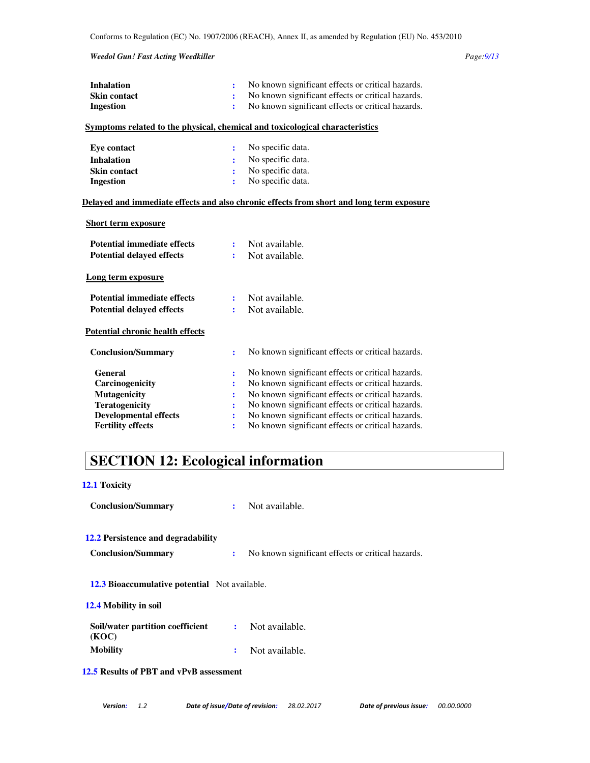#### *Weedol Gun! Fast Acting Weedkiller Page:9/13*

| <b>Inhalation</b>                       | ÷              | No known significant effects or critical hazards.                                        |
|-----------------------------------------|----------------|------------------------------------------------------------------------------------------|
| <b>Skin contact</b>                     | ÷              | No known significant effects or critical hazards.                                        |
| <b>Ingestion</b>                        | ÷              | No known significant effects or critical hazards.                                        |
|                                         |                | Symptoms related to the physical, chemical and toxicological characteristics             |
|                                         |                |                                                                                          |
| <b>Eye contact</b>                      | ÷              | No specific data.                                                                        |
| <b>Inhalation</b>                       |                | No specific data.                                                                        |
| Skin contact                            | ÷              | No specific data.                                                                        |
| <b>Ingestion</b>                        | ÷              | No specific data.                                                                        |
|                                         |                | Delayed and immediate effects and also chronic effects from short and long term exposure |
| <b>Short term exposure</b>              |                |                                                                                          |
|                                         |                |                                                                                          |
| <b>Potential immediate effects</b>      | ÷              | Not available.                                                                           |
| <b>Potential delayed effects</b>        | ÷              | Not available.                                                                           |
| Long term exposure                      |                |                                                                                          |
|                                         |                |                                                                                          |
| <b>Potential immediate effects</b>      | :              | Not available.                                                                           |
| <b>Potential delayed effects</b>        | ÷              | Not available.                                                                           |
| <b>Potential chronic health effects</b> |                |                                                                                          |
| <b>Conclusion/Summary</b>               | ÷              | No known significant effects or critical hazards.                                        |
| <b>General</b>                          | ÷              | No known significant effects or critical hazards.                                        |
| Carcinogenicity                         | ÷              | No known significant effects or critical hazards.                                        |
| <b>Mutagenicity</b>                     | ÷              | No known significant effects or critical hazards.                                        |
| <b>Teratogenicity</b>                   | ÷              | No known significant effects or critical hazards.                                        |
| <b>Developmental effects</b>            | $\ddot{\cdot}$ | No known significant effects or critical hazards.                                        |
| <b>Fertility effects</b>                | ÷              | No known significant effects or critical hazards.                                        |
|                                         |                |                                                                                          |

# **SECTION 12: Ecological information**

## **12.1 Toxicity**

| <b>Conclusion/Summary</b>                                       | $\mathbf{L}$ | Not available.                                    |  |
|-----------------------------------------------------------------|--------------|---------------------------------------------------|--|
| 12.2 Persistence and degradability<br><b>Conclusion/Summary</b> | ÷            | No known significant effects or critical hazards. |  |
| <b>12.3 Bioaccumulative potential</b> Not available.            |              |                                                   |  |
| 12.4 Mobility in soil                                           |              |                                                   |  |
| Soil/water partition coefficient<br>(KOC)                       | ÷            | Not available.                                    |  |
| <b>Mobility</b>                                                 |              | Not available.                                    |  |

**12.5 Results of PBT and vPvB assessment**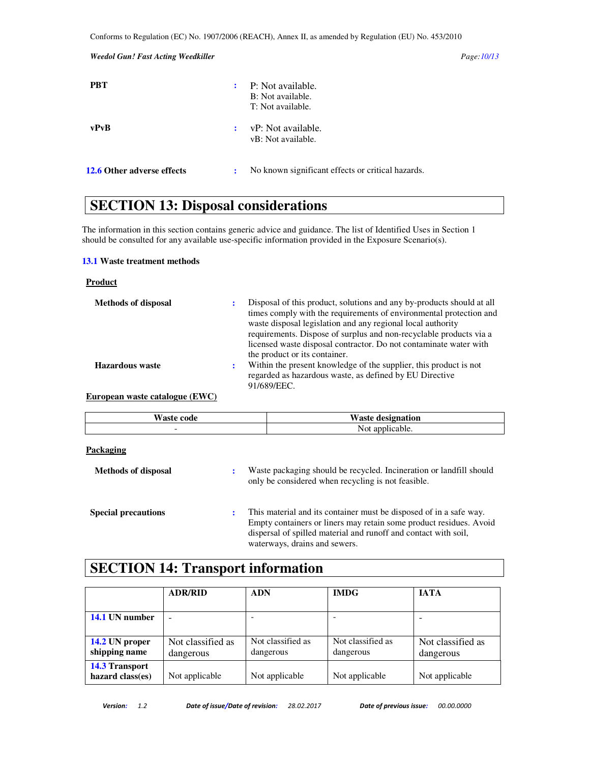## *Weedol Gun! Fast Acting Weedkiller Page:10/13*

| <b>PBT</b>                 | ٠. | P: Not available.<br>B: Not available.<br>T: Not available. |
|----------------------------|----|-------------------------------------------------------------|
| vPvB                       | ÷  | vP: Not available.<br>vB: Not available.                    |
| 12.6 Other adverse effects | ÷  | No known significant effects or critical hazards.           |

## **SECTION 13: Disposal considerations**

The information in this section contains generic advice and guidance. The list of Identified Uses in Section 1 should be consulted for any available use-specific information provided in the Exposure Scenario(s).

#### **13.1 Waste treatment methods**

#### **Product**

| <b>Methods of disposal</b> | Disposal of this product, solutions and any by-products should at all<br>times comply with the requirements of environmental protection and<br>waste disposal legislation and any regional local authority<br>requirements. Dispose of surplus and non-recyclable products via a<br>licensed waste disposal contractor. Do not contaminate water with<br>the product or its container. |
|----------------------------|----------------------------------------------------------------------------------------------------------------------------------------------------------------------------------------------------------------------------------------------------------------------------------------------------------------------------------------------------------------------------------------|
| <b>Hazardous</b> waste     | Within the present knowledge of the supplier, this product is not<br>regarded as hazardous waste, as defined by EU Directive<br>91/689/EEC.                                                                                                                                                                                                                                            |

### **European waste catalogue (EWC)**

| <b>Waste code</b> | <b>Waste designation</b> |
|-------------------|--------------------------|
|                   | Not applicable.          |

### **Packaging**

| <b>Methods of disposal</b> | ÷ | Waste packaging should be recycled. Incineration or landfill should<br>only be considered when recycling is not feasible.                                                                                                                    |
|----------------------------|---|----------------------------------------------------------------------------------------------------------------------------------------------------------------------------------------------------------------------------------------------|
| <b>Special precautions</b> | ٠ | This material and its container must be disposed of in a safe way.<br>Empty containers or liners may retain some product residues. Avoid<br>dispersal of spilled material and runoff and contact with soil,<br>waterways, drains and sewers. |

## **SECTION 14: Transport information**

|                                           | <b>ADR/RID</b>                 | <b>ADN</b>                     | <b>IMDG</b>                    | <b>IATA</b>                    |
|-------------------------------------------|--------------------------------|--------------------------------|--------------------------------|--------------------------------|
| 14.1 UN number                            |                                |                                |                                |                                |
| 14.2 UN proper<br>shipping name           | Not classified as<br>dangerous | Not classified as<br>dangerous | Not classified as<br>dangerous | Not classified as<br>dangerous |
| <b>14.3 Transport</b><br>hazard class(es) | Not applicable                 | Not applicable                 | Not applicable                 | Not applicable                 |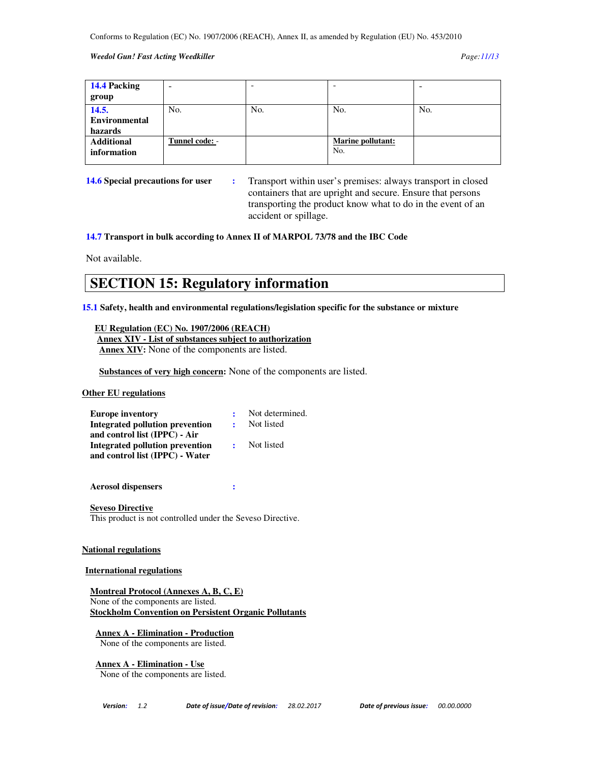#### *Weedol Gun! Fast Acting Weedkiller Page:11/13*

| 14.4 Packing<br>group                    | ۰              |     |                                 |     |
|------------------------------------------|----------------|-----|---------------------------------|-----|
| 14.5.<br><b>Environmental</b><br>hazards | No.            | No. | No.                             | No. |
| <b>Additional</b><br>information         | Tunnel code: - |     | <b>Marine pollutant:</b><br>No. |     |

**14.6 Special precautions for user :** Transport within user's premises: always transport in closed containers that are upright and secure. Ensure that persons transporting the product know what to do in the event of an accident or spillage.

**14.7 Transport in bulk according to Annex II of MARPOL 73/78 and the IBC Code** 

Not available.

## **SECTION 15: Regulatory information**

**15.1 Safety, health and environmental regulations/legislation specific for the substance or mixture** 

 **EU Regulation (EC) No. 1907/2006 (REACH) Annex XIV - List of substances subject to authorization Annex XIV:** None of the components are listed.

 **Substances of very high concern:** None of the components are listed.

## **Other EU regulations**

| <b>Europe inventory</b>         |              | Not determined. |
|---------------------------------|--------------|-----------------|
| Integrated pollution prevention |              | Not listed      |
| and control list (IPPC) - Air   |              |                 |
| Integrated pollution prevention | $\mathbf{R}$ | Not listed      |
| and control list (IPPC) - Water |              |                 |

**Aerosol dispensers :** 

**Seveso Directive** This product is not controlled under the Seveso Directive.

#### **National regulations**

#### **International regulations**

**Montreal Protocol (Annexes A, B, C, E)** None of the components are listed. **Stockholm Convention on Persistent Organic Pollutants**

**Annex A - Elimination - Production**

None of the components are listed.

**Annex A - Elimination - Use**

None of the components are listed.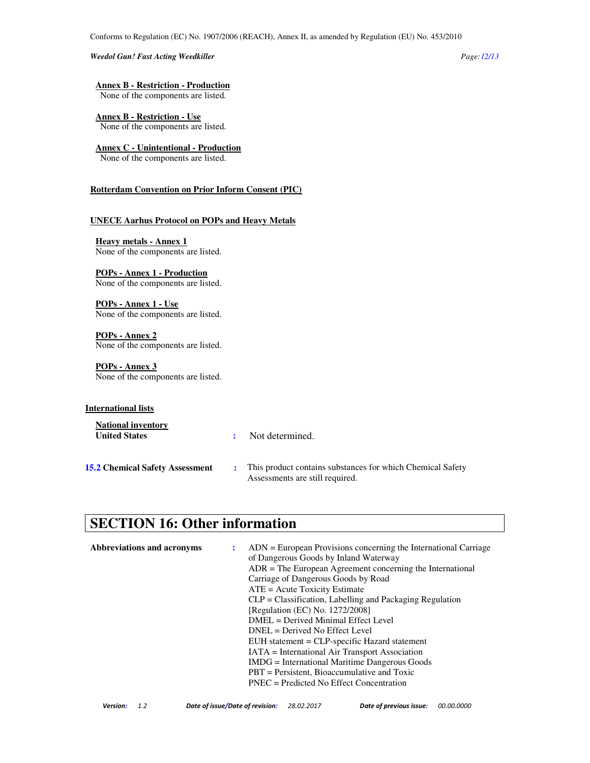#### *Weedol Gun! Fast Acting Weedkiller Page:12/13*

#### **Annex B - Restriction - Production**

None of the components are listed.

**Annex B - Restriction - Use** None of the components are listed.

## **Annex C - Unintentional - Production**

None of the components are listed.

#### **Rotterdam Convention on Prior Inform Consent (PIC)**

#### **UNECE Aarhus Protocol on POPs and Heavy Metals**

**Heavy metals - Annex 1** None of the components are listed.

#### **POPs - Annex 1 - Production**

None of the components are listed.

**POPs - Annex 1 - Use** None of the components are listed.

**POPs - Annex 2** None of the components are listed.

## **POPs - Annex 3**

None of the components are listed.

### **International lists**

| <b>National inventory</b><br><b>United States</b> | Not determined.                                                                               |
|---------------------------------------------------|-----------------------------------------------------------------------------------------------|
| <b>15.2 Chemical Safety Assessment</b>            | This product contains substances for which Chemical Safety<br>Assessments are still required. |

# **SECTION 16: Other information**

| Abbreviations and acronyms | $ADN = European Provisions concerning the International Carriage$<br>of Dangerous Goods by Inland Waterway<br>$ADR = The European Agreement concerning the International$<br>Carriage of Dangerous Goods by Road<br>$ATE = Acute Toxicity Estimate$<br>$CLP = Classification$ , Labelling and Packaging Regulation<br>[Regulation (EC) No. 1272/2008] |  |
|----------------------------|-------------------------------------------------------------------------------------------------------------------------------------------------------------------------------------------------------------------------------------------------------------------------------------------------------------------------------------------------------|--|
|                            | DMEL = Derived Minimal Effect Level<br>$DNEL = Derived No Effect Level$<br>EUH statement = CLP-specific Hazard statement<br><b>IATA</b> = International Air Transport Association<br><b>IMDG</b> = International Maritime Dangerous Goods<br>$PBT =$ Persistent, Bioaccumulative and Toxic<br>$PNEC = Predicted No Effect Concentration$              |  |